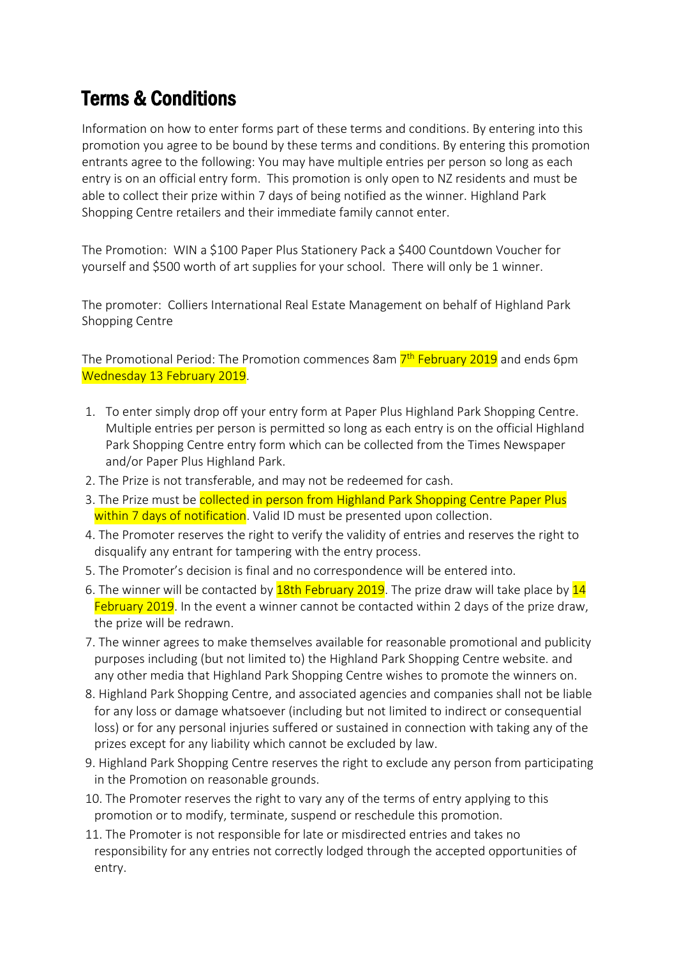## Terms & Conditions

Information on how to enter forms part of these terms and conditions. By entering into this promotion you agree to be bound by these terms and conditions. By entering this promotion entrants agree to the following: You may have multiple entries per person so long as each entry is on an official entry form. This promotion is only open to NZ residents and must be able to collect their prize within 7 days of being notified as the winner. Highland Park Shopping Centre retailers and their immediate family cannot enter.

The Promotion: WIN a \$100 Paper Plus Stationery Pack a \$400 Countdown Voucher for yourself and \$500 worth of art supplies for your school. There will only be 1 winner.

The promoter: Colliers International Real Estate Management on behalf of Highland Park Shopping Centre

The Promotional Period: The Promotion commences 8am <mark>7<sup>th</sup> February 2019</mark> and ends 6pm Wednesday 13 February 2019.

- 1. To enter simply drop off your entry form at Paper Plus Highland Park Shopping Centre. Multiple entries per person is permitted so long as each entry is on the official Highland Park Shopping Centre entry form which can be collected from the Times Newspaper and/or Paper Plus Highland Park.
- 2. The Prize is not transferable, and may not be redeemed for cash.
- 3. The Prize must be collected in person from Highland Park Shopping Centre Paper Plus within 7 days of notification. Valid ID must be presented upon collection.
- 4. The Promoter reserves the right to verify the validity of entries and reserves the right to disqualify any entrant for tampering with the entry process.
- 5. The Promoter's decision is final and no correspondence will be entered into.
- 6. The winner will be contacted by  $18$ th February 2019. The prize draw will take place by  $14$ February 2019. In the event a winner cannot be contacted within 2 days of the prize draw, the prize will be redrawn.
- 7. The winner agrees to make themselves available for reasonable promotional and publicity purposes including (but not limited to) the Highland Park Shopping Centre website. and any other media that Highland Park Shopping Centre wishes to promote the winners on.
- 8. Highland Park Shopping Centre, and associated agencies and companies shall not be liable for any loss or damage whatsoever (including but not limited to indirect or consequential loss) or for any personal injuries suffered or sustained in connection with taking any of the prizes except for any liability which cannot be excluded by law.
- 9. Highland Park Shopping Centre reserves the right to exclude any person from participating in the Promotion on reasonable grounds.
- 10. The Promoter reserves the right to vary any of the terms of entry applying to this promotion or to modify, terminate, suspend or reschedule this promotion.
- 11. The Promoter is not responsible for late or misdirected entries and takes no responsibility for any entries not correctly lodged through the accepted opportunities of entry.